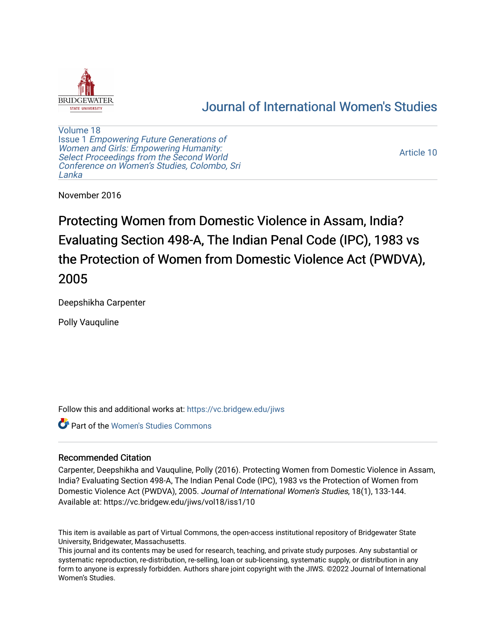

# [Journal of International Women's Studies](https://vc.bridgew.edu/jiws)

[Volume 18](https://vc.bridgew.edu/jiws/vol18) Issue 1 [Empowering Future Generations of](https://vc.bridgew.edu/jiws/vol18/iss1) [Women and Girls: Empowering Humanity:](https://vc.bridgew.edu/jiws/vol18/iss1) [Select Proceedings from the Second World](https://vc.bridgew.edu/jiws/vol18/iss1)  [Conference on Women's Studies, Colombo, Sri](https://vc.bridgew.edu/jiws/vol18/iss1)  [Lanka](https://vc.bridgew.edu/jiws/vol18/iss1) 

[Article 10](https://vc.bridgew.edu/jiws/vol18/iss1/10) 

November 2016

Protecting Women from Domestic Violence in Assam, India? Evaluating Section 498-A, The Indian Penal Code (IPC), 1983 vs the Protection of Women from Domestic Violence Act (PWDVA), 2005

Deepshikha Carpenter

Polly Vauquline

Follow this and additional works at: [https://vc.bridgew.edu/jiws](https://vc.bridgew.edu/jiws?utm_source=vc.bridgew.edu%2Fjiws%2Fvol18%2Fiss1%2F10&utm_medium=PDF&utm_campaign=PDFCoverPages)

Part of the [Women's Studies Commons](http://network.bepress.com/hgg/discipline/561?utm_source=vc.bridgew.edu%2Fjiws%2Fvol18%2Fiss1%2F10&utm_medium=PDF&utm_campaign=PDFCoverPages) 

## Recommended Citation

Carpenter, Deepshikha and Vauquline, Polly (2016). Protecting Women from Domestic Violence in Assam, India? Evaluating Section 498-A, The Indian Penal Code (IPC), 1983 vs the Protection of Women from Domestic Violence Act (PWDVA), 2005. Journal of International Women's Studies, 18(1), 133-144. Available at: https://vc.bridgew.edu/jiws/vol18/iss1/10

This item is available as part of Virtual Commons, the open-access institutional repository of Bridgewater State University, Bridgewater, Massachusetts.

This journal and its contents may be used for research, teaching, and private study purposes. Any substantial or systematic reproduction, re-distribution, re-selling, loan or sub-licensing, systematic supply, or distribution in any form to anyone is expressly forbidden. Authors share joint copyright with the JIWS. ©2022 Journal of International Women's Studies.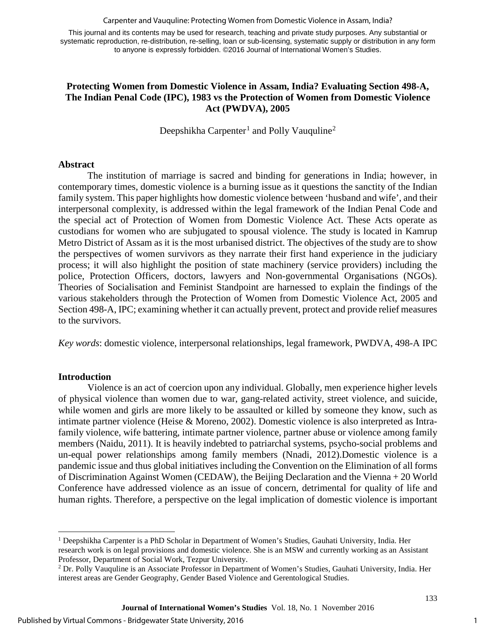Carpenter and Vauquline: Protecting Women from Domestic Violence in Assam, India?

This journal and its contents may be used for research, teaching and private study purposes. Any substantial or systematic reproduction, re-distribution, re-selling, loan or sub-licensing, systematic supply or distribution in any form to anyone is expressly forbidden. ©2016 Journal of International Women's Studies.

## **Protecting Women from Domestic Violence in Assam, India? Evaluating Section 498-A, The Indian Penal Code (IPC), 1983 vs the Protection of Women from Domestic Violence Act (PWDVA), 2005**

Deepshikha Carpenter<sup>[1](#page-1-0)</sup> and Polly Vauquline<sup>[2](#page-1-1)</sup>

#### **Abstract**

The institution of marriage is sacred and binding for generations in India; however, in contemporary times, domestic violence is a burning issue as it questions the sanctity of the Indian family system. This paper highlights how domestic violence between 'husband and wife', and their interpersonal complexity, is addressed within the legal framework of the Indian Penal Code and the special act of Protection of Women from Domestic Violence Act. These Acts operate as custodians for women who are subjugated to spousal violence. The study is located in Kamrup Metro District of Assam as it is the most urbanised district. The objectives of the study are to show the perspectives of women survivors as they narrate their first hand experience in the judiciary process; it will also highlight the position of state machinery (service providers) including the police, Protection Officers, doctors, lawyers and Non-governmental Organisations (NGOs). Theories of Socialisation and Feminist Standpoint are harnessed to explain the findings of the various stakeholders through the Protection of Women from Domestic Violence Act, 2005 and Section 498-A, IPC; examining whether it can actually prevent, protect and provide relief measures to the survivors.

*Key words*: domestic violence, interpersonal relationships, legal framework, PWDVA, 498-A IPC

## **Introduction**

 $\overline{\phantom{a}}$ 

Violence is an act of coercion upon any individual. Globally, men experience higher levels of physical violence than women due to war, gang-related activity, street violence, and suicide, while women and girls are more likely to be assaulted or killed by someone they know, such as intimate partner violence (Heise & Moreno, 2002). Domestic violence is also interpreted as Intrafamily violence, wife battering, intimate partner violence, partner abuse or violence among family members (Naidu, 2011). It is heavily indebted to patriarchal systems, psycho-social problems and un-equal power relationships among family members (Nnadi, 2012).Domestic violence is a pandemic issue and thus global initiatives including the Convention on the Elimination of all forms of Discrimination Against Women (CEDAW), the Beijing Declaration and the Vienna + 20 World Conference have addressed violence as an issue of concern, detrimental for quality of life and human rights. Therefore, a perspective on the legal implication of domestic violence is important

<span id="page-1-0"></span><sup>1</sup> Deepshikha Carpenter is a PhD Scholar in Department of Women's Studies, Gauhati University, India. Her research work is on legal provisions and domestic violence. She is an MSW and currently working as an Assistant Professor, Department of Social Work, Tezpur University.

<span id="page-1-1"></span><sup>2</sup> Dr. Polly Vauquline is an Associate Professor in Department of Women's Studies, Gauhati University, India. Her interest areas are Gender Geography, Gender Based Violence and Gerentological Studies.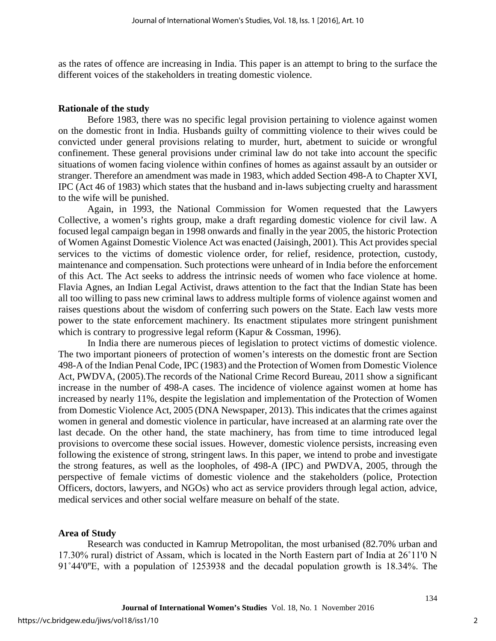as the rates of offence are increasing in India. This paper is an attempt to bring to the surface the different voices of the stakeholders in treating domestic violence.

#### **Rationale of the study**

Before 1983, there was no specific legal provision pertaining to violence against women on the domestic front in India. Husbands guilty of committing violence to their wives could be convicted under general provisions relating to murder, hurt, abetment to suicide or wrongful confinement. These general provisions under criminal law do not take into account the specific situations of women facing violence within confines of homes as against assault by an outsider or stranger. Therefore an amendment was made in 1983, which added Section 498-A to Chapter XVI, IPC (Act 46 of 1983) which states that the husband and in-laws subjecting cruelty and harassment to the wife will be punished.

Again, in 1993, the National Commission for Women requested that the Lawyers Collective, a women's rights group, make a draft regarding domestic violence for civil law. A focused legal campaign began in 1998 onwards and finally in the year 2005, the historic Protection of Women Against Domestic Violence Act was enacted (Jaisingh, 2001). This Act provides special services to the victims of domestic violence order, for relief, residence, protection, custody, maintenance and compensation. Such protections were unheard of in India before the enforcement of this Act. The Act seeks to address the intrinsic needs of women who face violence at home. Flavia Agnes, an Indian Legal Activist, draws attention to the fact that the Indian State has been all too willing to pass new criminal laws to address multiple forms of violence against women and raises questions about the wisdom of conferring such powers on the State. Each law vests more power to the state enforcement machinery. Its enactment stipulates more stringent punishment which is contrary to progressive legal reform (Kapur & Cossman, 1996).

In India there are numerous pieces of legislation to protect victims of domestic violence. The two important pioneers of protection of women's interests on the domestic front are Section 498-A of the Indian Penal Code, IPC (1983) and the Protection of Women from Domestic Violence Act, PWDVA, (2005).The records of the National Crime Record Bureau, 2011 show a significant increase in the number of 498-A cases. The incidence of violence against women at home has increased by nearly 11%, despite the legislation and implementation of the Protection of Women from Domestic Violence Act, 2005 (DNA Newspaper, 2013). This indicates that the crimes against women in general and domestic violence in particular, have increased at an alarming rate over the last decade. On the other hand, the state machinery, has from time to time introduced legal provisions to overcome these social issues. However, domestic violence persists, increasing even following the existence of strong, stringent laws. In this paper, we intend to probe and investigate the strong features, as well as the loopholes, of 498-A (IPC) and PWDVA, 2005, through the perspective of female victims of domestic violence and the stakeholders (police, Protection Officers, doctors, lawyers, and NGOs) who act as service providers through legal action, advice, medical services and other social welfare measure on behalf of the state.

## **Area of Study**

Research was conducted in Kamrup Metropolitan, the most urbanised (82.70% urban and 17.30% rural) district of Assam, which is located in the North Eastern part of India at 26°11'0 N 91°44′0″E, with a population of 1253938 and the decadal population growth is 18.34%. The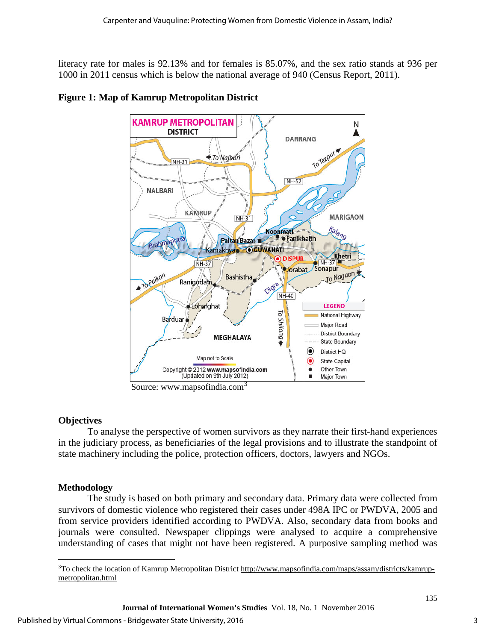literacy rate for males is 92.13% and for females is 85.07%, and the sex ratio stands at 936 per 1000 in 2011 census which is below the national average of 940 (Census Report, 2011).



# **Figure 1: Map of Kamrup Metropolitan District**

Source: www.mapsofindia.com<sup>[3](#page-3-0)</sup>

# **Objectives**

To analyse the perspective of women survivors as they narrate their first-hand experiences in the judiciary process, as beneficiaries of the legal provisions and to illustrate the standpoint of state machinery including the police, protection officers, doctors, lawyers and NGOs.

# **Methodology**

The study is based on both primary and secondary data. Primary data were collected from survivors of domestic violence who registered their cases under 498A IPC or PWDVA, 2005 and from service providers identified according to PWDVA. Also, secondary data from books and journals were consulted. Newspaper clippings were analysed to acquire a comprehensive understanding of cases that might not have been registered. A purposive sampling method was

<span id="page-3-0"></span>l <sup>3</sup>To check the location of Kamrup Metropolitan District [http://www.mapsofindia.com/maps/assam/districts/kamrup](http://www.mapsofindia.com/maps/assam/districts/kamrup-metropolitan.html)[metropolitan.html](http://www.mapsofindia.com/maps/assam/districts/kamrup-metropolitan.html)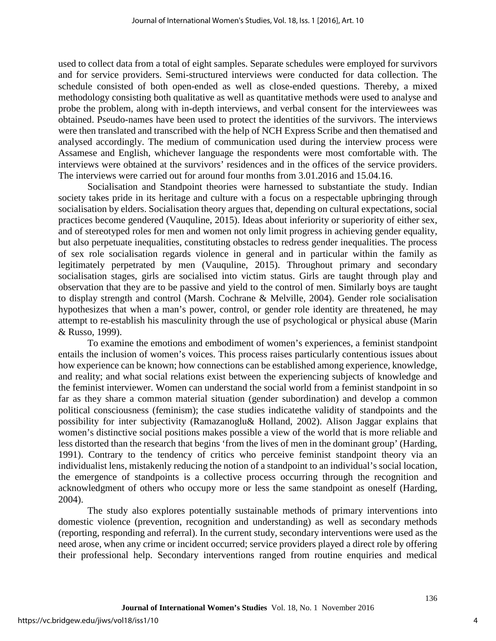used to collect data from a total of eight samples. Separate schedules were employed for survivors and for service providers. Semi-structured interviews were conducted for data collection. The schedule consisted of both open-ended as well as close-ended questions. Thereby, a mixed methodology consisting both qualitative as well as quantitative methods were used to analyse and probe the problem, along with in-depth interviews, and verbal consent for the interviewees was obtained. Pseudo-names have been used to protect the identities of the survivors. The interviews were then translated and transcribed with the help of NCH Express Scribe and then thematised and analysed accordingly. The medium of communication used during the interview process were Assamese and English, whichever language the respondents were most comfortable with. The interviews were obtained at the survivors' residences and in the offices of the service providers. The interviews were carried out for around four months from 3.01.2016 and 15.04.16.

Socialisation and Standpoint theories were harnessed to substantiate the study. Indian society takes pride in its heritage and culture with a focus on a respectable upbringing through socialisation by elders. Socialisation theory argues that, depending on cultural expectations, social practices become gendered (Vauquline, 2015). Ideas about inferiority or superiority of either sex, and of stereotyped roles for men and women not only limit progress in achieving gender equality, but also perpetuate inequalities, constituting obstacles to redress gender inequalities. The process of sex role socialisation regards violence in general and in particular within the family as legitimately perpetrated by men (Vauquline, 2015). Throughout primary and secondary socialisation stages, girls are socialised into victim status. Girls are taught through play and observation that they are to be passive and yield to the control of men. Similarly boys are taught to display strength and control (Marsh. Cochrane & Melville, 2004). Gender role socialisation hypothesizes that when a man's power, control, or gender role identity are threatened, he may attempt to re-establish his masculinity through the use of psychological or physical abuse (Marin & Russo, 1999).

To examine the emotions and embodiment of women's experiences, a feminist standpoint entails the inclusion of women's voices. This process raises particularly contentious issues about how experience can be known; how connections can be established among experience, knowledge, and reality; and what social relations exist between the experiencing subjects of knowledge and the feminist interviewer. Women can understand the social world from a feminist standpoint in so far as they share a common material situation (gender subordination) and develop a common political consciousness (feminism); the case studies indicatethe validity of standpoints and the possibility for inter subjectivity (Ramazanoglu& Holland, 2002). Alison Jaggar explains that women's distinctive social positions makes possible a view of the world that is more reliable and less distorted than the research that begins 'from the lives of men in the dominant group' (Harding, 1991). Contrary to the tendency of critics who perceive feminist standpoint theory via an individualist lens, mistakenly reducing the notion of a standpoint to an individual's social location, the emergence of standpoints is a collective process occurring through the recognition and acknowledgment of others who occupy more or less the same standpoint as oneself (Harding, 2004).

The study also explores potentially sustainable methods of primary interventions into domestic violence (prevention, recognition and understanding) as well as secondary methods (reporting, responding and referral). In the current study, secondary interventions were used as the need arose, when any crime or incident occurred; service providers played a direct role by offering their professional help. Secondary interventions ranged from routine enquiries and medical

4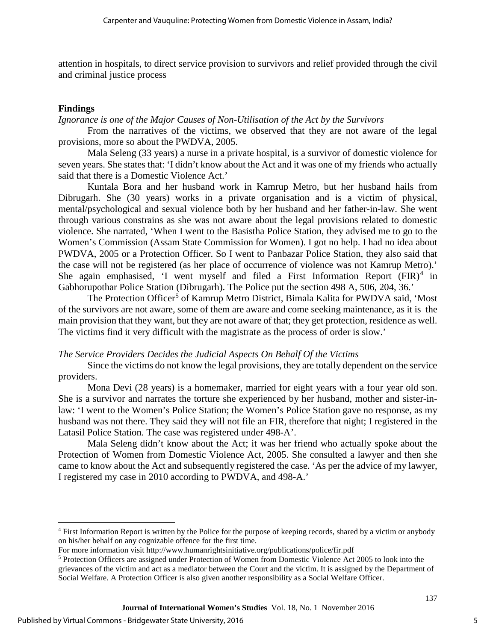attention in hospitals, to direct service provision to survivors and relief provided through the civil and criminal justice process

## **Findings**

## *Ignorance is one of the Major Causes of Non-Utilisation of the Act by the Survivors*

From the narratives of the victims, we observed that they are not aware of the legal provisions, more so about the PWDVA, 2005.

Mala Seleng (33 years) a nurse in a private hospital, is a survivor of domestic violence for seven years. She states that: 'I didn't know about the Act and it was one of my friends who actually said that there is a Domestic Violence Act.'

Kuntala Bora and her husband work in Kamrup Metro, but her husband hails from Dibrugarh. She (30 years) works in a private organisation and is a victim of physical, mental/psychological and sexual violence both by her husband and her father-in-law. She went through various constrains as she was not aware about the legal provisions related to domestic violence. She narrated, 'When I went to the Basistha Police Station, they advised me to go to the Women's Commission (Assam State Commission for Women). I got no help. I had no idea about PWDVA, 2005 or a Protection Officer. So I went to Panbazar Police Station, they also said that the case will not be registered (as her place of occurrence of violence was not Kamrup Metro).' She again emphasised, 'I went myself and filed a First Information Report  $(FIR)^4$  $(FIR)^4$  in Gabhorupothar Police Station (Dibrugarh). The Police put the section 498 A, 506, 204, 36.'

The Protection Officer<sup>[5](#page-5-1)</sup> of Kamrup Metro District, Bimala Kalita for PWDVA said, 'Most of the survivors are not aware, some of them are aware and come seeking maintenance, as it is the main provision that they want, but they are not aware of that; they get protection, residence as well. The victims find it very difficult with the magistrate as the process of order is slow.'

## *The Service Providers Decides the Judicial Aspects On Behalf Of the Victims*

Since the victims do not know the legal provisions, they are totally dependent on the service providers.

Mona Devi (28 years) is a homemaker, married for eight years with a four year old son. She is a survivor and narrates the torture she experienced by her husband, mother and sister-inlaw: 'I went to the Women's Police Station; the Women's Police Station gave no response, as my husband was not there. They said they will not file an FIR, therefore that night; I registered in the Latasil Police Station. The case was registered under 498-A'.

Mala Seleng didn't know about the Act; it was her friend who actually spoke about the Protection of Women from Domestic Violence Act, 2005. She consulted a lawyer and then she came to know about the Act and subsequently registered the case. 'As per the advice of my lawyer, I registered my case in 2010 according to PWDVA, and 498-A.'

 $\overline{\phantom{a}}$ 

<span id="page-5-0"></span><sup>4</sup> First Information Report is written by the Police for the purpose of keeping records, shared by a victim or anybody on his/her behalf on any cognizable offence for the first time.

For more information visit<http://www.humanrightsinitiative.org/publications/police/fir.pdf>

<span id="page-5-1"></span><sup>5</sup> Protection Officers are assigned under Protection of Women from Domestic Violence Act 2005 to look into the grievances of the victim and act as a mediator between the Court and the victim. It is assigned by the Department of Social Welfare. A Protection Officer is also given another responsibility as a Social Welfare Officer.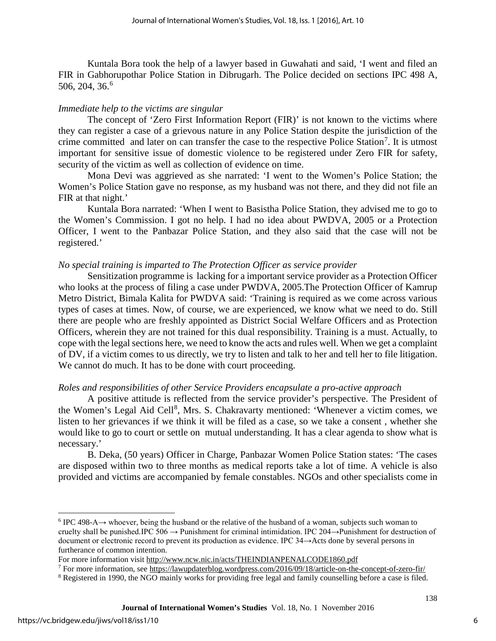Kuntala Bora took the help of a lawyer based in Guwahati and said, 'I went and filed an FIR in Gabhorupothar Police Station in Dibrugarh. The Police decided on sections IPC 498 A, 50[6](#page-6-0), 204, 36.<sup>6</sup>

#### *Immediate help to the victims are singular*

The concept of 'Zero First Information Report (FIR)' is not known to the victims where they can register a case of a grievous nature in any Police Station despite the jurisdiction of the crime committed and later on can transfer the case to the respective Police Station<sup>[7](#page-6-1)</sup>. It is utmost important for sensitive issue of domestic violence to be registered under Zero FIR for safety, security of the victim as well as collection of evidence on time.

Mona Devi was aggrieved as she narrated: 'I went to the Women's Police Station; the Women's Police Station gave no response, as my husband was not there, and they did not file an FIR at that night.'

Kuntala Bora narrated: 'When I went to Basistha Police Station, they advised me to go to the Women's Commission. I got no help. I had no idea about PWDVA, 2005 or a Protection Officer, I went to the Panbazar Police Station, and they also said that the case will not be registered.'

#### *No special training is imparted to The Protection Officer as service provider*

Sensitization programme is lacking for a important service provider as a Protection Officer who looks at the process of filing a case under PWDVA, 2005.The Protection Officer of Kamrup Metro District, Bimala Kalita for PWDVA said: 'Training is required as we come across various types of cases at times. Now, of course, we are experienced, we know what we need to do. Still there are people who are freshly appointed as District Social Welfare Officers and as Protection Officers, wherein they are not trained for this dual responsibility. Training is a must. Actually, to cope with the legal sections here, we need to know the acts and rules well. When we get a complaint of DV, if a victim comes to us directly, we try to listen and talk to her and tell her to file litigation. We cannot do much. It has to be done with court proceeding.

#### *Roles and responsibilities of other Service Providers encapsulate a pro-active approach*

A positive attitude is reflected from the service provider's perspective. The President of the Women's Legal Aid Cell<sup>[8](#page-6-2)</sup>, Mrs. S. Chakravarty mentioned: 'Whenever a victim comes, we listen to her grievances if we think it will be filed as a case, so we take a consent , whether she would like to go to court or settle on mutual understanding. It has a clear agenda to show what is necessary.'

B. Deka, (50 years) Officer in Charge, Panbazar Women Police Station states: 'The cases are disposed within two to three months as medical reports take a lot of time. A vehicle is also provided and victims are accompanied by female constables. NGOs and other specialists come in

l

<span id="page-6-0"></span> $6$  IPC 498-A $\rightarrow$  whoever, being the husband or the relative of the husband of a woman, subjects such woman to cruelty shall be punished.IPC  $506 \rightarrow$  Punishment for criminal intimidation. IPC 204 $\rightarrow$ Punishment for destruction of document or electronic record to prevent its production as evidence. IPC 34→Acts done by several persons in furtherance of common intention.

For more information visit<http://www.ncw.nic.in/acts/THEINDIANPENALCODE1860.pdf>

<span id="page-6-1"></span> $^7$  For more information, se[e https://lawupdaterblog.wordpress.com/2016/09/18/article-on-the-concept-of-zero-fir/](https://lawupdaterblog.wordpress.com/2016/09/18/article-on-the-concept-of-zero-fir/)

<span id="page-6-2"></span><sup>&</sup>lt;sup>8</sup> Registered in 1990, the NGO mainly works for providing free legal and family counselling before a case is filed.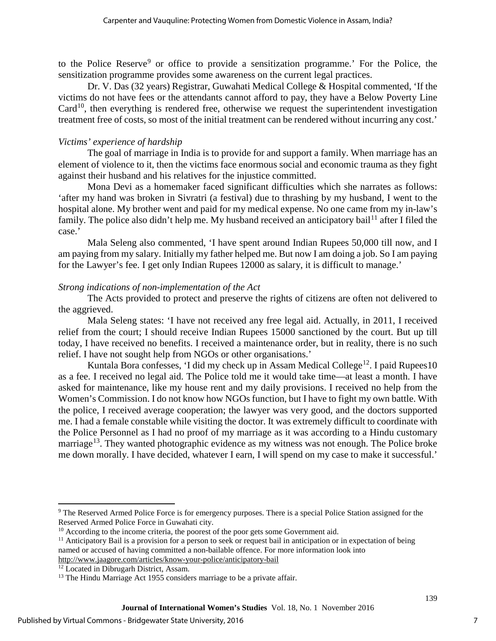to the Police Reserve<sup>[9](#page-7-0)</sup> or office to provide a sensitization programme.' For the Police, the sensitization programme provides some awareness on the current legal practices.

Dr. V. Das (32 years) Registrar, Guwahati Medical College & Hospital commented, 'If the victims do not have fees or the attendants cannot afford to pay, they have a Below Poverty Line  $Card<sup>10</sup>$ , then everything is rendered free, otherwise we request the superintendent investigation treatment free of costs, so most of the initial treatment can be rendered without incurring any cost.'

# *Victims' experience of hardship*

The goal of marriage in India is to provide for and support a family. When marriage has an element of violence to it, then the victims face enormous social and economic trauma as they fight against their husband and his relatives for the injustice committed.

Mona Devi as a homemaker faced significant difficulties which she narrates as follows: 'after my hand was broken in Sivratri (a festival) due to thrashing by my husband, I went to the hospital alone. My brother went and paid for my medical expense. No one came from my in-law's family. The police also didn't help me. My husband received an anticipatory bail<sup>[11](#page-7-2)</sup> after I filed the case.'

Mala Seleng also commented, 'I have spent around Indian Rupees 50,000 till now, and I am paying from my salary. Initially my father helped me. But now I am doing a job. So I am paying for the Lawyer's fee. I get only Indian Rupees 12000 as salary, it is difficult to manage.'

# *Strong indications of non-implementation of the Act*

The Acts provided to protect and preserve the rights of citizens are often not delivered to the aggrieved.

Mala Seleng states: 'I have not received any free legal aid. Actually, in 2011, I received relief from the court; I should receive Indian Rupees 15000 sanctioned by the court. But up till today, I have received no benefits. I received a maintenance order, but in reality, there is no such relief. I have not sought help from NGOs or other organisations.'

Kuntala Bora confesses, 'I did my check up in Assam Medical College<sup>[12](#page-7-3)</sup>. I paid Rupees10 as a fee. I received no legal aid. The Police told me it would take time—at least a month. I have asked for maintenance, like my house rent and my daily provisions. I received no help from the Women's Commission. I do not know how NGOs function, but I have to fight my own battle. With the police, I received average cooperation; the lawyer was very good, and the doctors supported me. I had a female constable while visiting the doctor. It was extremely difficult to coordinate with the Police Personnel as I had no proof of my marriage as it was according to a Hindu customary marriage<sup>[13](#page-7-4)</sup>. They wanted photographic evidence as my witness was not enough. The Police broke me down morally. I have decided, whatever I earn, I will spend on my case to make it successful.'

 $\overline{\phantom{a}}$ 

<span id="page-7-0"></span><sup>9</sup> The Reserved Armed Police Force is for emergency purposes. There is a special Police Station assigned for the Reserved Armed Police Force in Guwahati city.

<span id="page-7-1"></span> $10$  According to the income criteria, the poorest of the poor gets some Government aid.

<span id="page-7-2"></span> $11$  Anticipatory Bail is a provision for a person to seek or request bail in anticipation or in expectation of being named or accused of having committed a non-bailable offence. For more information look into <http://www.jaagore.com/articles/know-your-police/anticipatory-bail>

<span id="page-7-3"></span><sup>&</sup>lt;sup>12</sup> Located in Dibrugarh District, Assam.

<span id="page-7-4"></span><sup>&</sup>lt;sup>13</sup> The Hindu Marriage Act 1955 considers marriage to be a private affair.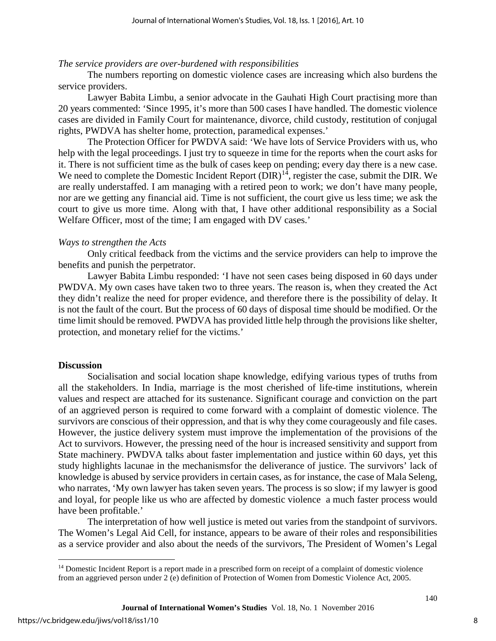#### *The service providers are over-burdened with responsibilities*

The numbers reporting on domestic violence cases are increasing which also burdens the service providers.

Lawyer Babita Limbu, a senior advocate in the Gauhati High Court practising more than 20 years commented: 'Since 1995, it's more than 500 cases I have handled. The domestic violence cases are divided in Family Court for maintenance, divorce, child custody, restitution of conjugal rights, PWDVA has shelter home, protection, paramedical expenses.'

The Protection Officer for PWDVA said: 'We have lots of Service Providers with us, who help with the legal proceedings. I just try to squeeze in time for the reports when the court asks for it. There is not sufficient time as the bulk of cases keep on pending; every day there is a new case. We need to complete the Domestic Incident Report  $(DIR)^{14}$  $(DIR)^{14}$  $(DIR)^{14}$ , register the case, submit the DIR. We are really understaffed. I am managing with a retired peon to work; we don't have many people, nor are we getting any financial aid. Time is not sufficient, the court give us less time; we ask the court to give us more time. Along with that, I have other additional responsibility as a Social Welfare Officer, most of the time; I am engaged with DV cases.'

#### *Ways to strengthen the Acts*

Only critical feedback from the victims and the service providers can help to improve the benefits and punish the perpetrator.

Lawyer Babita Limbu responded: 'I have not seen cases being disposed in 60 days under PWDVA. My own cases have taken two to three years. The reason is, when they created the Act they didn't realize the need for proper evidence, and therefore there is the possibility of delay. It is not the fault of the court. But the process of 60 days of disposal time should be modified. Or the time limit should be removed. PWDVA has provided little help through the provisions like shelter, protection, and monetary relief for the victims.'

## **Discussion**

Socialisation and social location shape knowledge, edifying various types of truths from all the stakeholders. In India, marriage is the most cherished of life-time institutions, wherein values and respect are attached for its sustenance. Significant courage and conviction on the part of an aggrieved person is required to come forward with a complaint of domestic violence. The survivors are conscious of their oppression, and that is why they come courageously and file cases. However, the justice delivery system must improve the implementation of the provisions of the Act to survivors. However, the pressing need of the hour is increased sensitivity and support from State machinery. PWDVA talks about faster implementation and justice within 60 days, yet this study highlights lacunae in the mechanismsfor the deliverance of justice. The survivors' lack of knowledge is abused by service providers in certain cases, as for instance, the case of Mala Seleng, who narrates, 'My own lawyer has taken seven years. The process is so slow; if my lawyer is good and loyal, for people like us who are affected by domestic violence a much faster process would have been profitable.'

The interpretation of how well justice is meted out varies from the standpoint of survivors. The Women's Legal Aid Cell, for instance, appears to be aware of their roles and responsibilities as a service provider and also about the needs of the survivors, The President of Women's Legal

l

<span id="page-8-0"></span><sup>&</sup>lt;sup>14</sup> Domestic Incident Report is a report made in a prescribed form on receipt of a complaint of domestic violence from an aggrieved person under 2 (e) definition of Protection of Women from Domestic Violence Act, 2005.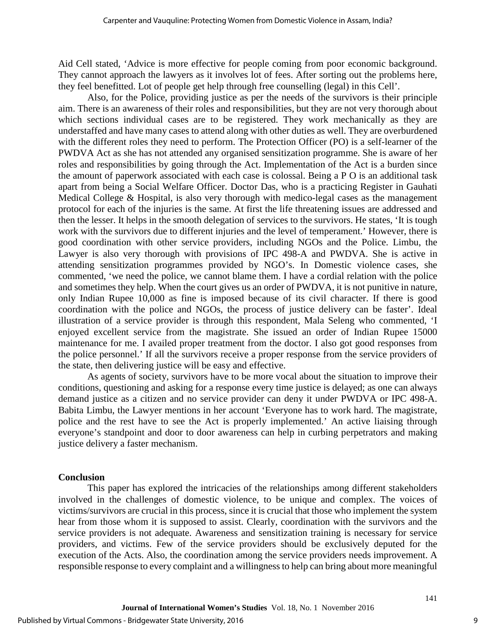Aid Cell stated, 'Advice is more effective for people coming from poor economic background. They cannot approach the lawyers as it involves lot of fees. After sorting out the problems here, they feel benefitted. Lot of people get help through free counselling (legal) in this Cell'.

Also, for the Police, providing justice as per the needs of the survivors is their principle aim. There is an awareness of their roles and responsibilities, but they are not very thorough about which sections individual cases are to be registered. They work mechanically as they are understaffed and have many cases to attend along with other duties as well. They are overburdened with the different roles they need to perform. The Protection Officer (PO) is a self-learner of the PWDVA Act as she has not attended any organised sensitization programme. She is aware of her roles and responsibilities by going through the Act. Implementation of the Act is a burden since the amount of paperwork associated with each case is colossal. Being a P O is an additional task apart from being a Social Welfare Officer. Doctor Das, who is a practicing Register in Gauhati Medical College & Hospital, is also very thorough with medico-legal cases as the management protocol for each of the injuries is the same. At first the life threatening issues are addressed and then the lesser. It helps in the smooth delegation of services to the survivors. He states, 'It is tough work with the survivors due to different injuries and the level of temperament.' However, there is good coordination with other service providers, including NGOs and the Police. Limbu, the Lawyer is also very thorough with provisions of IPC 498-A and PWDVA. She is active in attending sensitization programmes provided by NGO's. In Domestic violence cases, she commented, 'we need the police, we cannot blame them. I have a cordial relation with the police and sometimes they help. When the court gives us an order of PWDVA, it is not punitive in nature, only Indian Rupee 10,000 as fine is imposed because of its civil character. If there is good coordination with the police and NGOs, the process of justice delivery can be faster'. Ideal illustration of a service provider is through this respondent, Mala Seleng who commented, 'I enjoyed excellent service from the magistrate. She issued an order of Indian Rupee 15000 maintenance for me. I availed proper treatment from the doctor. I also got good responses from the police personnel.' If all the survivors receive a proper response from the service providers of the state, then delivering justice will be easy and effective.

As agents of society, survivors have to be more vocal about the situation to improve their conditions, questioning and asking for a response every time justice is delayed; as one can always demand justice as a citizen and no service provider can deny it under PWDVA or IPC 498-A. Babita Limbu, the Lawyer mentions in her account 'Everyone has to work hard. The magistrate, police and the rest have to see the Act is properly implemented.' An active liaising through everyone's standpoint and door to door awareness can help in curbing perpetrators and making justice delivery a faster mechanism.

#### **Conclusion**

This paper has explored the intricacies of the relationships among different stakeholders involved in the challenges of domestic violence, to be unique and complex. The voices of victims/survivors are crucial in this process, since it is crucial that those who implement the system hear from those whom it is supposed to assist. Clearly, coordination with the survivors and the service providers is not adequate. Awareness and sensitization training is necessary for service providers, and victims. Few of the service providers should be exclusively deputed for the execution of the Acts. Also, the coordination among the service providers needs improvement. A responsible response to every complaint and a willingness to help can bring about more meaningful

9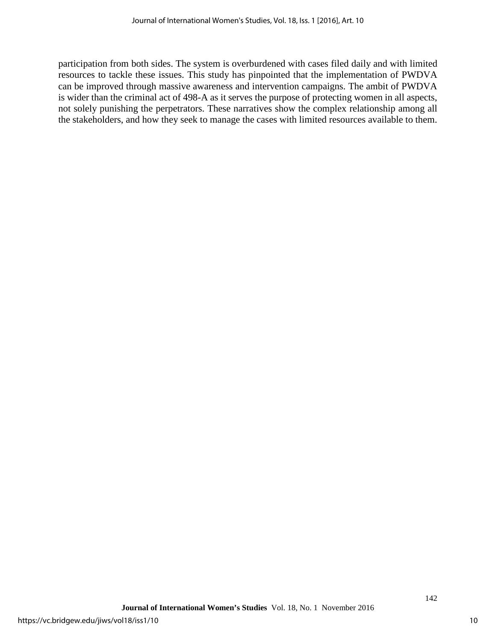participation from both sides. The system is overburdened with cases filed daily and with limited resources to tackle these issues. This study has pinpointed that the implementation of PWDVA can be improved through massive awareness and intervention campaigns. The ambit of PWDVA is wider than the criminal act of 498-A as it serves the purpose of protecting women in all aspects, not solely punishing the perpetrators. These narratives show the complex relationship among all the stakeholders, and how they seek to manage the cases with limited resources available to them.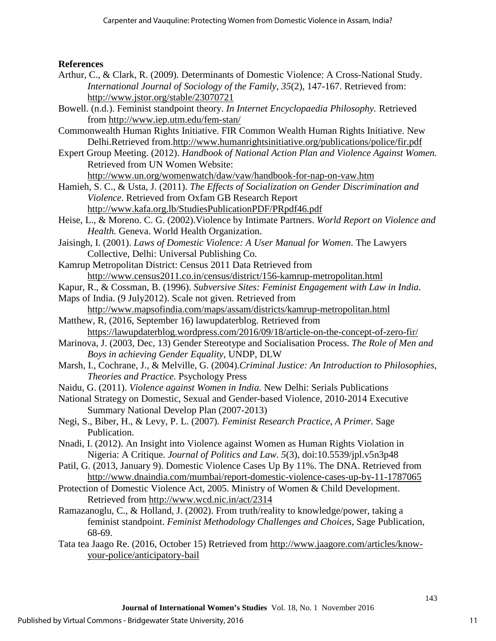# **References**

- Arthur, C., & Clark, R. (2009). Determinants of Domestic Violence: A Cross-National Study. *International Journal of Sociology of the Family, 35*(2), 147-167. Retrieved from: <http://www.jstor.org/stable/23070721>
- Bowell. (n.d.). Feminist standpoint theory. *In Internet Encyclopaedia Philosophy.* Retrieved from<http://www.iep.utm.edu/fem-stan/>
- Commonwealth Human Rights Initiative. FIR Common Wealth Human Rights Initiative. New Delhi.Retrieved from[.http://www.humanrightsinitiative.org/publications/police/fir.pdf](http://www.humanrightsinitiative.org/publications/police/fir.pdf)
- Expert Group Meeting. (2012). *Handbook of National Action Plan and Violence Against Women.* Retrieved from UN Women Website: <http://www.un.org/womenwatch/daw/vaw/handbook-for-nap-on-vaw.htm>

Hamieh, S. C., & Usta, J. (2011). *The Effects of Socialization on Gender Discrimination and* 

*Violence*. Retrieved from Oxfam GB Research Report

<http://www.kafa.org.lb/StudiesPublicationPDF/PRpdf46.pdf>

- Heise, L., & Moreno. C. G. (2002).Violence by Intimate Partners. *World Report on Violence and Health.* Geneva. World Health Organization.
- Jaisingh, I. (2001). *Laws of Domestic Violence: A User Manual for Women*. The Lawyers Collective, Delhi: Universal Publishing Co.
- Kamrup Metropolitan District: Census 2011 Data Retrieved from <http://www.census2011.co.in/census/district/156-kamrup-metropolitan.html>
- Kapur, R., & Cossman, B. (1996). *Subversive Sites: Feminist Engagement with Law in India.*
- Maps of India. (9 July2012). Scale not given. Retrieved from <http://www.mapsofindia.com/maps/assam/districts/kamrup-metropolitan.html>
- Matthew, R, (2016, September 16) lawupdaterblog. Retrieved from <https://lawupdaterblog.wordpress.com/2016/09/18/article-on-the-concept-of-zero-fir/>
- Marinova, J. (2003, Dec, 13) Gender Stereotype and Socialisation Process. *The Role of Men and Boys in achieving Gender Equality*, UNDP, DLW
- Marsh, I., Cochrane, J., & Melville, G. (2004).*Criminal Justice: An Introduction to Philosophies, Theories and Practice.* Psychology Press
- Naidu, G. (2011). *Violence against Women in India.* New Delhi: Serials Publications
- National Strategy on Domestic, Sexual and Gender-based Violence, 2010-2014 Executive Summary National Develop Plan (2007-2013)
- Negi, S., Biber, H., & Levy, P. L. (2007). *Feminist Research Practice, A Primer.* Sage Publication.
- Nnadi, I. (2012). An Insight into Violence against Women as Human Rights Violation in Nigeria: A Critique. *Journal of Politics and Law. 5*(3), doi:10.5539/jpl.v5n3p48
- Patil, G. (2013, January 9). Domestic Violence Cases Up By 11%. The DNA. Retrieved from <http://www.dnaindia.com/mumbai/report-domestic-violence-cases-up-by-11-1787065>
- Protection of Domestic Violence Act, 2005. Ministry of Women & Child Development. Retrieved from<http://www.wcd.nic.in/act/2314>
- Ramazanoglu, C., & Holland, J. (2002). From truth/reality to knowledge/power, taking a feminist standpoint. *Feminist Methodology Challenges and Choices*, Sage Publication, 68-69.
- Tata tea Jaago Re. (2016, October 15) Retrieved from [http://www.jaagore.com/articles/know](http://www.jaagore.com/articles/know-your-police/anticipatory-bail)[your-police/anticipatory-bail](http://www.jaagore.com/articles/know-your-police/anticipatory-bail)